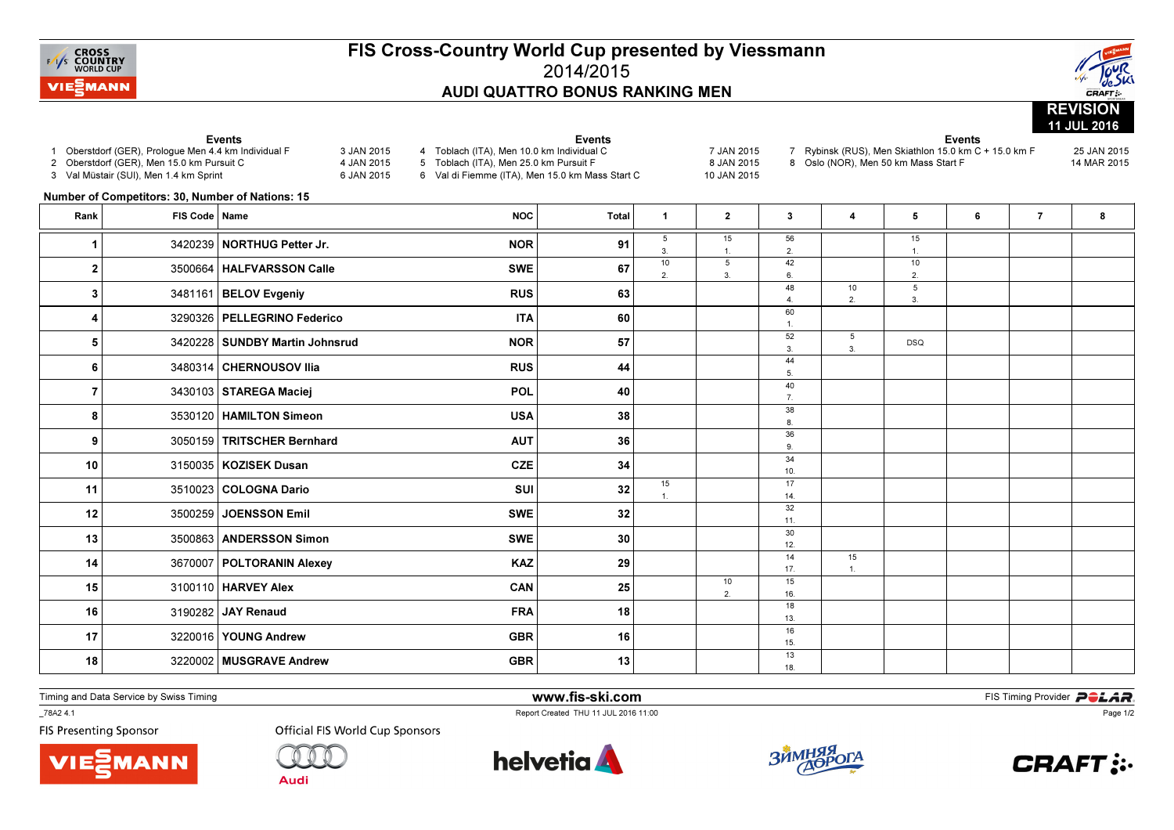

## FIS Cross-Country World Cup presented by Viessmann2014/2015AUDI QUATTRO BONUS RANKING MEN



## Events 1 Oberstdorf (GER), Prologue Men 4.4 km Individual F 3 JAN 20154 JAN 2015 2 Oberstdorf (GER), Men 15.0 km Pursuit C 6 JAN 2015 3 Val Müstair (SUI), Men 1.4 km Sprint Events 4 Toblach (ITA), Men 10.0 km Individual C 7 JAN 20158.IAN 2015 5 Toblach (ITA), Men 25.0 km Pursuit F 10 JAN 2015 6 Val di Fiemme (ITA), Men 15.0 km Mass Start C Events 7 Rybinsk (RUS), Men Skiathlon 15.0 km C + 15.0 km F 25 JAN 201514 MAR 2015 8 Oslo (NOR), Men 50 km Mass Start F Number of Competitors: 30, Number of Nations: 15Rank FIS Code Name NOC Total <sup>1</sup> <sup>2</sup> <sup>3</sup> <sup>4</sup> <sup>5</sup> <sup>6</sup> <sup>7</sup> <sup>8</sup> 5 3. 1015 1. 556 2.42 15 $\overline{1}$ 1.<sup>1</sup>1 3420239 NORTHUG Petter Jr. NOR 1 91 2. 3. 6. $\overline{10}$  $\mathfrak{D}$ 2. 3500664 HALFVARSSON Calle the same swell that  $\mathsf{SWE}$  and  $\mathsf{SWE}$  and  $\mathsf{Z}$  and  $\mathsf{Z}$  and  $\mathsf{Z}$  and  $\mathsf{Z}$  and  $\mathsf{Z}$  and  $\mathsf{Z}$  and  $\mathsf{Z}$  and  $\mathsf{Z}$  and  $\mathsf{Z}$  and  $\mathsf{Z}$  and  $\mathsf{Z}$  and 2 3500664 HALFVARSSON Calle SWE SWE 48 4. 6010 2.5 $3.$  $3$  3481161 BELOV Evgeniy and the control of the RUS of the control of the control of the control of the control of the control of the control of the control of the control of the control of the control of the control of  $3|$  3481161 BELOV Evgeniy **RUS RUS** 63  $\overline{1}$  $\begin{bmatrix} 4 \end{bmatrix}$  3290326 PELLEGRINO Federico ITA  $\begin{bmatrix} 60 \end{bmatrix}$  (  $\begin{bmatrix} 1 \end{bmatrix}$ 52 3. 445 $\mathbf{3}$ 5 3420228 SUNDBY Martin Johnsrud NOR NOR 57 DSQ  $\sqrt{2}$ 6 3480314 CHERNOUSOV Ilia (1990) (1991) (1991) (1991) (1991) (1991) (1991) (1991) (1991) (1991) (19 <sup>3480314</sup> CHERNOUSOV Ilia RUS <sup>44</sup> 40 $\overline{7}$  $\begin{array}{|c|c|c|c|c|}\hline \text{7} & \text{3430103}} \text{STAREGA Maciej} & \text{7} & \text{7} \ \hline \end{array}$ 38 $\mathbf{a}$ 8.<sup>8</sup>8 3530120 HAMILTON Simeonn USA  $\vert$  38 36 $9.$ 9.<sup>9</sup> <sup>3050159</sup> TRITSCHER Bernhard AUT <sup>36</sup> 34 $10$ 10 3150035 **KOZISEK Dusan** and the control of the control of the control of the control of the control of the control of the control of the control of the control of the control of the control of the control of the contro 10 3150035 KOZISEK Dusan n  $CZE$  34 15 1.17 $14.$ 11  $\vert$  3510023 COLOGNA Dario 2011 - 14 11 3510023 COLOGNA Darioo SUI 32 32 $11.$ 12  $\vert$  3500259 JOENSSON Emil SWE SWE 32  $\vert$  11 12 3500259 JOENSSON Emil SWE SWE 32 30 $12<sub>1</sub>$ 13  $\vert$  3500863 ANDERSSON Simon SWE SWE 30  $\vert$  12  $\vert$ 13 3500863 n  $SWE$  30 14 17. 1515 $\mathbf{1}$ 14 3670007 POLTORANIN Alexey  $\overline{KAZ}$   $Z9$   $|$   $|$   $|$ 14 3670007 POLTORANIN Alexey KAZ KAZ 29 10 2.16. 15 3100110 HARVEY Alex **CAN CAN** 25 25 26 26 18 $13.$ 13.<sup>16</sup> <sup>3190282</sup> JAY Renaudd the set of the set of the set of the set of the set of the set of the set of the set of the set of the set o 1615 17  $\vert$  3220016 YOUNG Andrew GBR GBR 16 16 <sup>3220016</sup> YOUNG Andreww GBR 16 1318 3220002 MUSGRAVE Andrew

Timing and Data Service by Swiss Timing

\_78A2 4.1

**FIS Presenting Sponsor** 





Audi

18  $(3220002 \text{ | MUSGRAVE Andrew})$  GBR  $(320002 \text{ | MUSGRAVE-18 P})$ 

w GBR  $\begin{array}{|c|c|c|c|}\n\hline\n\text{GR} & \text{13} \\
\hline\n\end{array}$ 





18



Page 1/2

**m**<br>FIS Timing Provider<br>Is 11:00 Report Created THU 11 JUL 2016 11:00

www.fis-ski.com